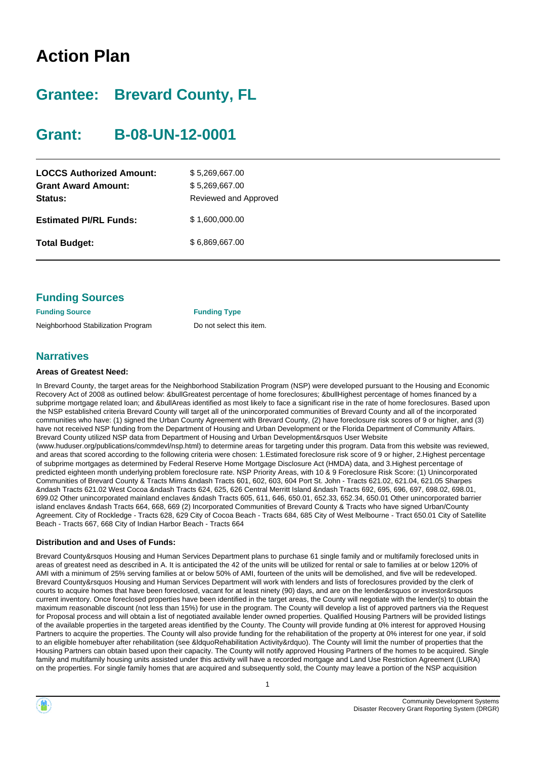# **Action Plan**

# **Grantee: Brevard County, FL**

# **Grant: B-08-UN-12-0001**

| \$5,269,667.00<br>\$5,269,667.00<br>Reviewed and Approved |
|-----------------------------------------------------------|
| \$1,600,000.00                                            |
| \$6,869,667.00                                            |
|                                                           |

|  | <b>Funding Sources</b> |
|--|------------------------|
|--|------------------------|

**Funding Source Funding Type** Neighborhood Stabilization Program Do not select this item.

### **Narratives**

#### **Areas of Greatest Need:**

In Brevard County, the target areas for the Neighborhood Stabilization Program (NSP) were developed pursuant to the Housing and Economic Recovery Act of 2008 as outlined below: &bullGreatest percentage of home foreclosures; &bullHighest percentage of homes financed by a subprime mortgage related loan; and &bullAreas identified as most likely to face a significant rise in the rate of home foreclosures. Based upon the NSP established criteria Brevard County will target all of the unincorporated communities of Brevard County and all of the incorporated communities who have: (1) signed the Urban County Agreement with Brevard County, (2) have foreclosure risk scores of 9 or higher, and (3) have not received NSP funding from the Department of Housing and Urban Development or the Florida Department of Community Affairs. Brevard County utilized NSP data from Department of Housing and Urban Development&rsquos User Website (www.huduser.org/publications/commdevl/nsp.html) to determine areas for targeting under this program. Data from this website was reviewed, and areas that scored according to the following criteria were chosen: 1.Estimated foreclosure risk score of 9 or higher, 2.Highest percentage of subprime mortgages as determined by Federal Reserve Home Mortgage Disclosure Act (HMDA) data, and 3.Highest percentage of predicted eighteen month underlying problem foreclosure rate. NSP Priority Areas, with 10 & 9 Foreclosure Risk Score: (1) Unincorporated Communities of Brevard County & Tracts Mims &ndash Tracts 601, 602, 603, 604 Port St. John - Tracts 621.02, 621.04, 621.05 Sharpes

&ndash Tracts 621.02 West Cocoa &ndash Tracts 624, 625, 626 Central Merritt Island &ndash Tracts 692, 695, 696, 697, 698.02, 698.01, 699.02 Other unincorporated mainland enclaves &ndash Tracts 605, 611, 646, 650.01, 652.33, 652.34, 650.01 Other unincorporated barrier island enclaves &ndash Tracts 664, 668, 669 (2) Incorporated Communities of Brevard County & Tracts who have signed Urban/County Agreement. City of Rockledge - Tracts 628, 629 City of Cocoa Beach - Tracts 684, 685 City of West Melbourne - Tract 650.01 City of Satellite Beach - Tracts 667, 668 City of Indian Harbor Beach - Tracts 664

#### **Distribution and and Uses of Funds:**

Brevard County&rsquos Housing and Human Services Department plans to purchase 61 single family and or multifamily foreclosed units in areas of greatest need as described in A. It is anticipated the 42 of the units will be utilized for rental or sale to families at or below 120% of AMI with a minimum of 25% serving families at or below 50% of AMI, fourteen of the units will be demolished, and five will be redeveloped. Brevard County&rsquos Housing and Human Services Department will work with lenders and lists of foreclosures provided by the clerk of courts to acquire homes that have been foreclosed, vacant for at least ninety (90) days, and are on the lender&rsquos or investor&rsquos current inventory. Once foreclosed properties have been identified in the target areas, the County will negotiate with the lender(s) to obtain the maximum reasonable discount (not less than 15%) for use in the program. The County will develop a list of approved partners via the Request for Proposal process and will obtain a list of negotiated available lender owned properties. Qualified Housing Partners will be provided listings of the available properties in the targeted areas identified by the County. The County will provide funding at 0% interest for approved Housing Partners to acquire the properties. The County will also provide funding for the rehabilitation of the property at 0% interest for one year, if sold to an eligible homebuyer after rehabilitation (see &ldquoRehabilitation Activity&rdquo). The County will limit the number of properties that the Housing Partners can obtain based upon their capacity. The County will notify approved Housing Partners of the homes to be acquired. Single family and multifamily housing units assisted under this activity will have a recorded mortgage and Land Use Restriction Agreement (LURA) on the properties. For single family homes that are acquired and subsequently sold, the County may leave a portion of the NSP acquisition



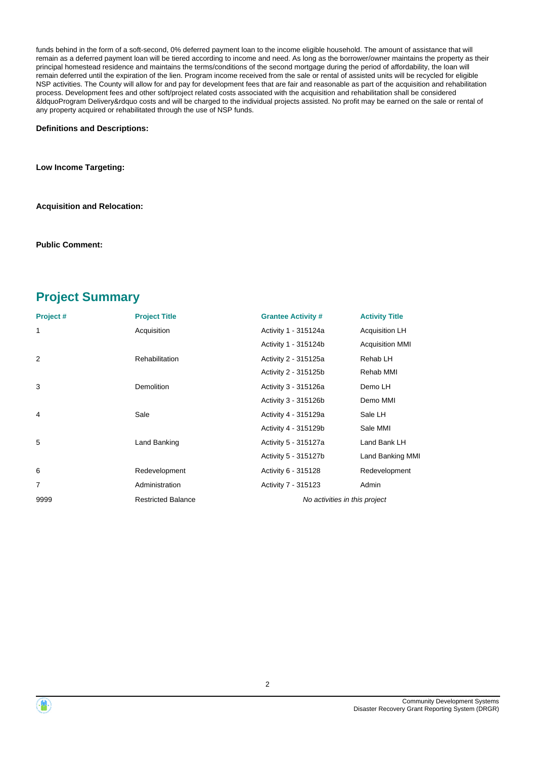funds behind in the form of a soft-second, 0% deferred payment loan to the income eligible household. The amount of assistance that will remain as a deferred payment loan will be tiered according to income and need. As long as the borrower/owner maintains the property as their principal homestead residence and maintains the terms/conditions of the second mortgage during the period of affordability, the loan will remain deferred until the expiration of the lien. Program income received from the sale or rental of assisted units will be recycled for eligible NSP activities. The County will allow for and pay for development fees that are fair and reasonable as part of the acquisition and rehabilitation process. Development fees and other soft/project related costs associated with the acquisition and rehabilitation shall be considered &ldquoProgram Delivery&rdquo costs and will be charged to the individual projects assisted. No profit may be earned on the sale or rental of any property acquired or rehabilitated through the use of NSP funds.

#### **Definitions and Descriptions:**

**Low Income Targeting:**

**Acquisition and Relocation:**

**Public Comment:**

### **Project Summary**

| Project# | <b>Project Title</b>      | <b>Grantee Activity #</b>     | <b>Activity Title</b>  |  |
|----------|---------------------------|-------------------------------|------------------------|--|
| 1        | Acquisition               | Activity 1 - 315124a          | <b>Acquisition LH</b>  |  |
|          |                           | Activity 1 - 315124b          | <b>Acquisition MMI</b> |  |
| 2        | Rehabilitation            | Activity 2 - 315125a          | Rehab LH               |  |
|          |                           | Activity 2 - 315125b          | Rehab MMI              |  |
| 3        | <b>Demolition</b>         | Activity 3 - 315126a          | Demo LH                |  |
|          |                           | Activity 3 - 315126b          | Demo MMI               |  |
| 4        | Sale                      | Activity 4 - 315129a          | Sale LH                |  |
|          |                           | Activity 4 - 315129b          | Sale MMI               |  |
| 5        | Land Banking              | Activity 5 - 315127a          | Land Bank LH           |  |
|          |                           | Activity 5 - 315127b          | Land Banking MMI       |  |
| 6        | Redevelopment             | Activity 6 - 315128           | Redevelopment          |  |
| 7        | Administration            | Activity 7 - 315123           | Admin                  |  |
| 9999     | <b>Restricted Balance</b> | No activities in this project |                        |  |



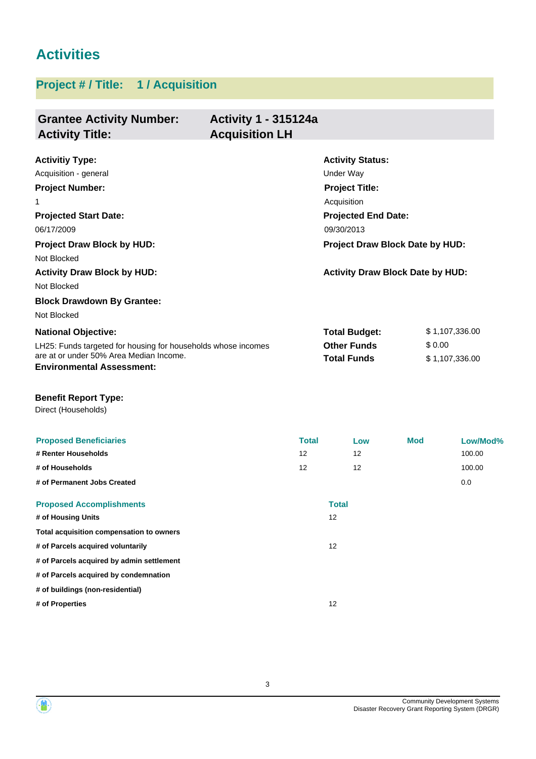# **Activities**

## **Project # / Title: 1 / Acquisition**

| <b>Grantee Activity Number:</b><br><b>Activity Title:</b>                   | <b>Activity 1 - 315124a</b><br><b>Acquisition LH</b> |              |                                         |            |                |
|-----------------------------------------------------------------------------|------------------------------------------------------|--------------|-----------------------------------------|------------|----------------|
| <b>Activitiy Type:</b>                                                      |                                                      |              | <b>Activity Status:</b>                 |            |                |
| Acquisition - general                                                       |                                                      |              | Under Way                               |            |                |
| <b>Project Number:</b>                                                      |                                                      |              | <b>Project Title:</b>                   |            |                |
| 1                                                                           |                                                      |              | Acquisition                             |            |                |
| <b>Projected Start Date:</b>                                                |                                                      |              | <b>Projected End Date:</b>              |            |                |
| 06/17/2009                                                                  |                                                      |              | 09/30/2013                              |            |                |
| <b>Project Draw Block by HUD:</b>                                           |                                                      |              | Project Draw Block Date by HUD:         |            |                |
| Not Blocked                                                                 |                                                      |              |                                         |            |                |
| <b>Activity Draw Block by HUD:</b>                                          |                                                      |              | <b>Activity Draw Block Date by HUD:</b> |            |                |
| Not Blocked                                                                 |                                                      |              |                                         |            |                |
| <b>Block Drawdown By Grantee:</b>                                           |                                                      |              |                                         |            |                |
| Not Blocked                                                                 |                                                      |              |                                         |            |                |
| <b>National Objective:</b>                                                  |                                                      |              | <b>Total Budget:</b>                    |            | \$1,107,336.00 |
| LH25: Funds targeted for housing for households whose incomes               |                                                      |              | <b>Other Funds</b>                      | \$0.00     |                |
| are at or under 50% Area Median Income.<br><b>Environmental Assessment:</b> |                                                      |              | <b>Total Funds</b>                      |            | \$1,107,336.00 |
| <b>Benefit Report Type:</b><br>Direct (Households)                          |                                                      |              |                                         |            |                |
| <b>Proposed Beneficiaries</b>                                               |                                                      | <b>Total</b> | Low                                     | <b>Mod</b> | Low/Mod%       |
| # Renter Households                                                         | 12                                                   |              | 12                                      |            | 100.00         |
| # of Households                                                             | 12                                                   |              | 12                                      |            | 100.00         |
| # of Permanent Jobs Created                                                 |                                                      |              |                                         |            | 0.0            |
| <b>Proposed Accomplishments</b>                                             |                                                      |              | <b>Total</b>                            |            |                |
| # of Housing Units                                                          |                                                      |              | 12                                      |            |                |
| Total acquisition compensation to owners                                    |                                                      |              |                                         |            |                |
| # of Parcels acquired voluntarily                                           |                                                      |              | 12                                      |            |                |
| # of Parcels acquired by admin settlement                                   |                                                      |              |                                         |            |                |
| # of Parcels acquired by condemnation                                       |                                                      |              |                                         |            |                |
| # of buildings (non-residential)                                            |                                                      |              |                                         |            |                |
| # of Properties                                                             |                                                      |              | 12                                      |            |                |



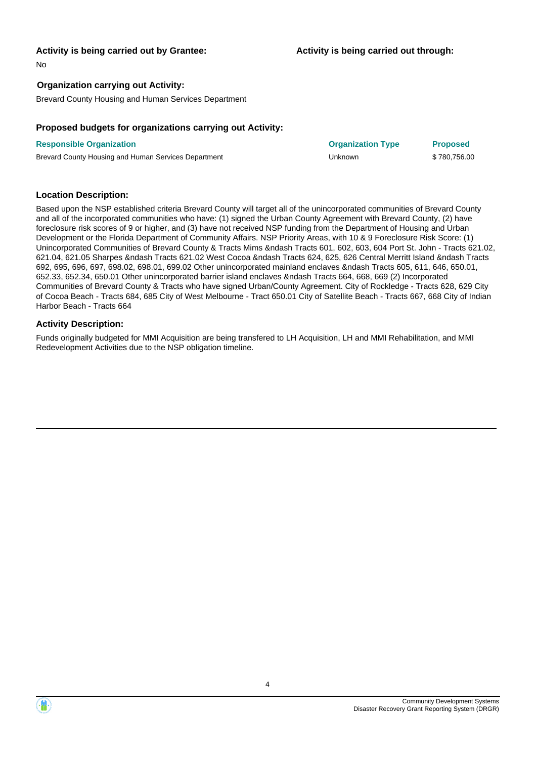#### **Activity is being carried out by Grantee:**

No

#### **Organization carrying out Activity:**

Brevard County Housing and Human Services Department

#### **Proposed budgets for organizations carrying out Activity:**

| <b>Responsible Organization</b>                      | <b>Organization Type</b> | <b>Proposed</b> |
|------------------------------------------------------|--------------------------|-----------------|
| Brevard County Housing and Human Services Department | Unknown                  | \$780,756.00    |

#### **Location Description:**

Based upon the NSP established criteria Brevard County will target all of the unincorporated communities of Brevard County and all of the incorporated communities who have: (1) signed the Urban County Agreement with Brevard County, (2) have foreclosure risk scores of 9 or higher, and (3) have not received NSP funding from the Department of Housing and Urban Development or the Florida Department of Community Affairs. NSP Priority Areas, with 10 & 9 Foreclosure Risk Score: (1) Unincorporated Communities of Brevard County & Tracts Mims &ndash Tracts 601, 602, 603, 604 Port St. John - Tracts 621.02, 621.04, 621.05 Sharpes &ndash Tracts 621.02 West Cocoa &ndash Tracts 624, 625, 626 Central Merritt Island &ndash Tracts 692, 695, 696, 697, 698.02, 698.01, 699.02 Other unincorporated mainland enclaves &ndash Tracts 605, 611, 646, 650.01, 652.33, 652.34, 650.01 Other unincorporated barrier island enclaves &ndash Tracts 664, 668, 669 (2) Incorporated Communities of Brevard County & Tracts who have signed Urban/County Agreement. City of Rockledge - Tracts 628, 629 City of Cocoa Beach - Tracts 684, 685 City of West Melbourne - Tract 650.01 City of Satellite Beach - Tracts 667, 668 City of Indian Harbor Beach - Tracts 664

#### **Activity Description:**

Funds originally budgeted for MMI Acquisition are being transfered to LH Acquisition, LH and MMI Rehabilitation, and MMI Redevelopment Activities due to the NSP obligation timeline.

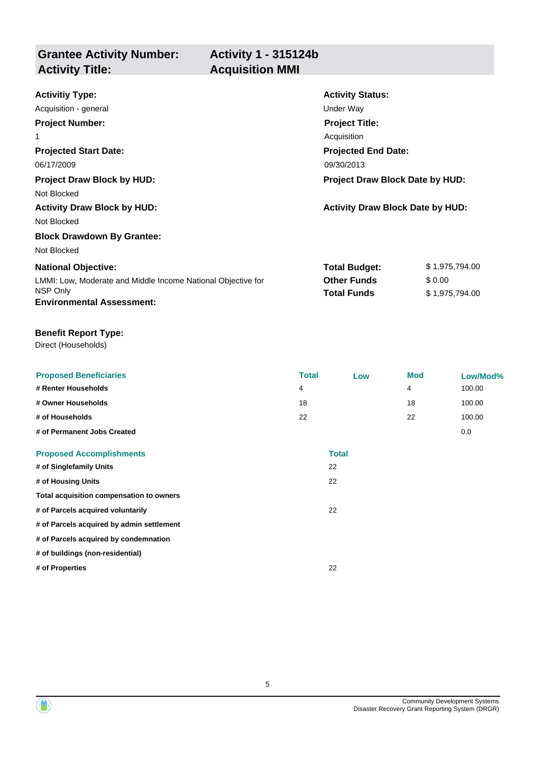**Grantee Activity Number:**

### **Activity 1 - 315124b Acquisition MMI**

| <b>Activitiy Type:</b>                                       | <b>Activity Status:</b>                 |                |  |
|--------------------------------------------------------------|-----------------------------------------|----------------|--|
| Acquisition - general                                        | Under Way                               |                |  |
| <b>Project Number:</b>                                       | <b>Project Title:</b>                   |                |  |
| 1                                                            | Acquisition                             |                |  |
| <b>Projected Start Date:</b>                                 | <b>Projected End Date:</b>              |                |  |
| 06/17/2009                                                   | 09/30/2013                              |                |  |
| <b>Project Draw Block by HUD:</b>                            | <b>Project Draw Block Date by HUD:</b>  |                |  |
| Not Blocked                                                  |                                         |                |  |
| <b>Activity Draw Block by HUD:</b>                           | <b>Activity Draw Block Date by HUD:</b> |                |  |
| Not Blocked                                                  |                                         |                |  |
| <b>Block Drawdown By Grantee:</b>                            |                                         |                |  |
| Not Blocked                                                  |                                         |                |  |
| <b>National Objective:</b>                                   | <b>Total Budget:</b>                    | \$1,975,794.00 |  |
| LMMI: Low, Moderate and Middle Income National Objective for | <b>Other Funds</b>                      | \$0.00         |  |
| NSP Only                                                     | <b>Total Funds</b>                      | \$1,975,794.00 |  |
| <b>Environmental Assessment:</b>                             |                                         |                |  |

#### **Benefit Report Type:**

Direct (Households)

| <b>Proposed Beneficiaries</b>             | <b>Total</b> | Low          | <b>Mod</b> | Low/Mod% |
|-------------------------------------------|--------------|--------------|------------|----------|
| # Renter Households                       | 4            |              | 4          | 100.00   |
| # Owner Households                        | 18           |              | 18         | 100.00   |
| # of Households                           | 22           |              | 22         | 100.00   |
| # of Permanent Jobs Created               |              |              |            | 0.0      |
| <b>Proposed Accomplishments</b>           |              | <b>Total</b> |            |          |
| # of Singlefamily Units                   |              | 22           |            |          |
| # of Housing Units                        |              | 22           |            |          |
| Total acquisition compensation to owners  |              |              |            |          |
| # of Parcels acquired voluntarily         |              | 22           |            |          |
| # of Parcels acquired by admin settlement |              |              |            |          |
| # of Parcels acquired by condemnation     |              |              |            |          |
| # of buildings (non-residential)          |              |              |            |          |
| # of Properties                           |              | 22           |            |          |

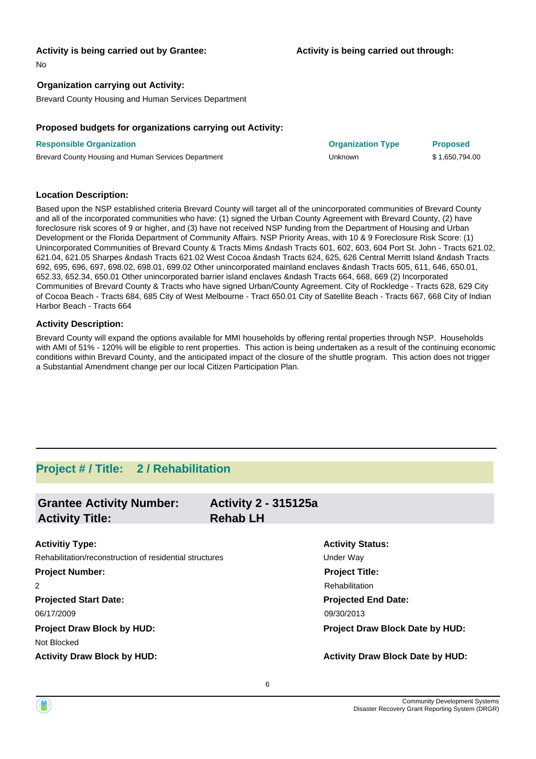#### **Activity is being carried out by Grantee:**

No

#### **Organization carrying out Activity:**

Brevard County Housing and Human Services Department

#### **Proposed budgets for organizations carrying out Activity:**

| <b>Responsible Organization</b>                      | <b>Organization Type</b> | <b>Proposed</b> |
|------------------------------------------------------|--------------------------|-----------------|
| Brevard County Housing and Human Services Department | Unknown                  | \$1,650,794.00  |

#### **Location Description:**

Based upon the NSP established criteria Brevard County will target all of the unincorporated communities of Brevard County and all of the incorporated communities who have: (1) signed the Urban County Agreement with Brevard County, (2) have foreclosure risk scores of 9 or higher, and (3) have not received NSP funding from the Department of Housing and Urban Development or the Florida Department of Community Affairs. NSP Priority Areas, with 10 & 9 Foreclosure Risk Score: (1) Unincorporated Communities of Brevard County & Tracts Mims &ndash Tracts 601, 602, 603, 604 Port St. John - Tracts 621.02, 621.04, 621.05 Sharpes &ndash Tracts 621.02 West Cocoa &ndash Tracts 624, 625, 626 Central Merritt Island &ndash Tracts 692, 695, 696, 697, 698.02, 698.01, 699.02 Other unincorporated mainland enclaves &ndash Tracts 605, 611, 646, 650.01, 652.33, 652.34, 650.01 Other unincorporated barrier island enclaves &ndash Tracts 664, 668, 669 (2) Incorporated Communities of Brevard County & Tracts who have signed Urban/County Agreement. City of Rockledge - Tracts 628, 629 City of Cocoa Beach - Tracts 684, 685 City of West Melbourne - Tract 650.01 City of Satellite Beach - Tracts 667, 668 City of Indian Harbor Beach - Tracts 664

#### **Activity Description:**

Brevard County will expand the options available for MMI households by offering rental properties through NSP. Households with AMI of 51% - 120% will be eligible to rent properties. This action is being undertaken as a result of the continuing economic conditions within Brevard County, and the anticipated impact of the closure of the shuttle program. This action does not trigger a Substantial Amendment change per our local Citizen Participation Plan.

### **Project # / Title: 2 / Rehabilitation**

| <b>Grantee Activity Number:</b>                         | <b>Activity 2 - 315125a</b> |                                         |
|---------------------------------------------------------|-----------------------------|-----------------------------------------|
| <b>Activity Title:</b>                                  | <b>Rehab LH</b>             |                                         |
| <b>Activitiy Type:</b>                                  |                             | <b>Activity Status:</b>                 |
| Rehabilitation/reconstruction of residential structures |                             | Under Way                               |
| <b>Project Number:</b>                                  |                             | <b>Project Title:</b>                   |
| $\overline{2}$                                          |                             | Rehabilitation                          |
| <b>Projected Start Date:</b>                            |                             | <b>Projected End Date:</b>              |
| 06/17/2009                                              |                             | 09/30/2013                              |
| <b>Project Draw Block by HUD:</b>                       |                             | <b>Project Draw Block Date by HUD:</b>  |
| Not Blocked                                             |                             |                                         |
| <b>Activity Draw Block by HUD:</b>                      |                             | <b>Activity Draw Block Date by HUD:</b> |

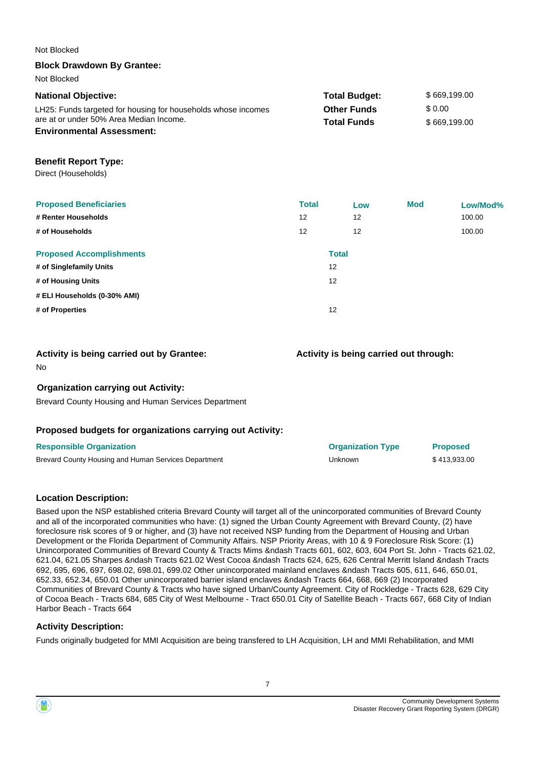| Not Blocked                                                   |              |                      |                                        |              |
|---------------------------------------------------------------|--------------|----------------------|----------------------------------------|--------------|
| <b>Block Drawdown By Grantee:</b>                             |              |                      |                                        |              |
| Not Blocked                                                   |              |                      |                                        |              |
| <b>National Objective:</b>                                    |              | <b>Total Budget:</b> |                                        | \$669,199.00 |
| LH25: Funds targeted for housing for households whose incomes |              | <b>Other Funds</b>   | \$0.00                                 |              |
| are at or under 50% Area Median Income.                       |              | <b>Total Funds</b>   |                                        | \$669,199.00 |
| <b>Environmental Assessment:</b>                              |              |                      |                                        |              |
| <b>Benefit Report Type:</b>                                   |              |                      |                                        |              |
| Direct (Households)                                           |              |                      |                                        |              |
|                                                               |              |                      |                                        |              |
| <b>Proposed Beneficiaries</b>                                 | <b>Total</b> | Low                  | <b>Mod</b>                             | Low/Mod%     |
| # Renter Households                                           | 12           | 12                   |                                        | 100.00       |
| # of Households                                               | 12           | 12                   |                                        | 100.00       |
| <b>Proposed Accomplishments</b>                               |              | <b>Total</b>         |                                        |              |
| # of Singlefamily Units                                       | 12           |                      |                                        |              |
| # of Housing Units                                            | 12           |                      |                                        |              |
| # ELI Households (0-30% AMI)                                  |              |                      |                                        |              |
| # of Properties                                               | 12           |                      |                                        |              |
|                                                               |              |                      |                                        |              |
| Activity is being carried out by Grantee:                     |              |                      | Activity is being carried out through: |              |
| No                                                            |              |                      |                                        |              |
|                                                               |              |                      |                                        |              |
| <b>Organization carrying out Activity:</b>                    |              |                      |                                        |              |
| Brevard County Housing and Human Services Department          |              |                      |                                        |              |
|                                                               |              |                      |                                        |              |
| Proposed budgets for organizations carrying out Activity:     |              |                      |                                        |              |

| <b>Responsible Organization</b>                      | <b>Organization Type</b> | <b>Proposed</b> |
|------------------------------------------------------|--------------------------|-----------------|
| Brevard County Housing and Human Services Department | Unknown                  | \$413.933.00    |

#### **Location Description:**

Based upon the NSP established criteria Brevard County will target all of the unincorporated communities of Brevard County and all of the incorporated communities who have: (1) signed the Urban County Agreement with Brevard County, (2) have foreclosure risk scores of 9 or higher, and (3) have not received NSP funding from the Department of Housing and Urban Development or the Florida Department of Community Affairs. NSP Priority Areas, with 10 & 9 Foreclosure Risk Score: (1) Unincorporated Communities of Brevard County & Tracts Mims &ndash Tracts 601, 602, 603, 604 Port St. John - Tracts 621.02, 621.04, 621.05 Sharpes &ndash Tracts 621.02 West Cocoa &ndash Tracts 624, 625, 626 Central Merritt Island &ndash Tracts 692, 695, 696, 697, 698.02, 698.01, 699.02 Other unincorporated mainland enclaves &ndash Tracts 605, 611, 646, 650.01, 652.33, 652.34, 650.01 Other unincorporated barrier island enclaves &ndash Tracts 664, 668, 669 (2) Incorporated Communities of Brevard County & Tracts who have signed Urban/County Agreement. City of Rockledge - Tracts 628, 629 City of Cocoa Beach - Tracts 684, 685 City of West Melbourne - Tract 650.01 City of Satellite Beach - Tracts 667, 668 City of Indian Harbor Beach - Tracts 664

#### **Activity Description:**

Funds originally budgeted for MMI Acquisition are being transfered to LH Acquisition, LH and MMI Rehabilitation, and MMI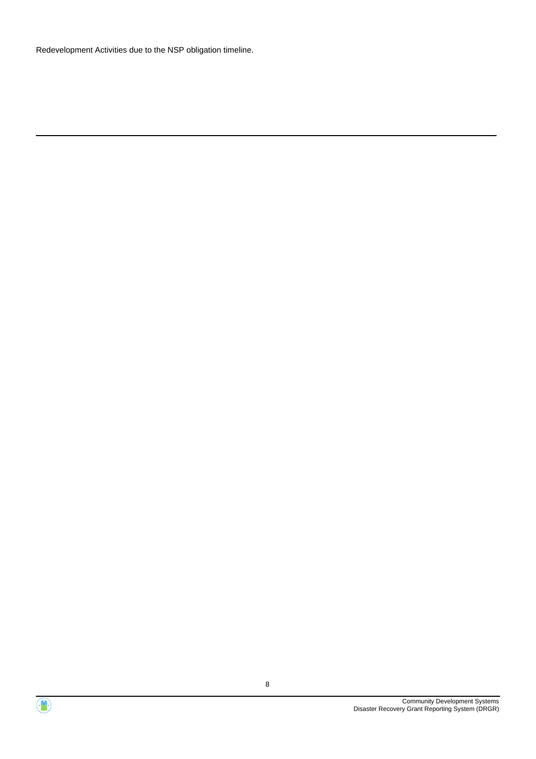Redevelopment Activities due to the NSP obligation timeline.

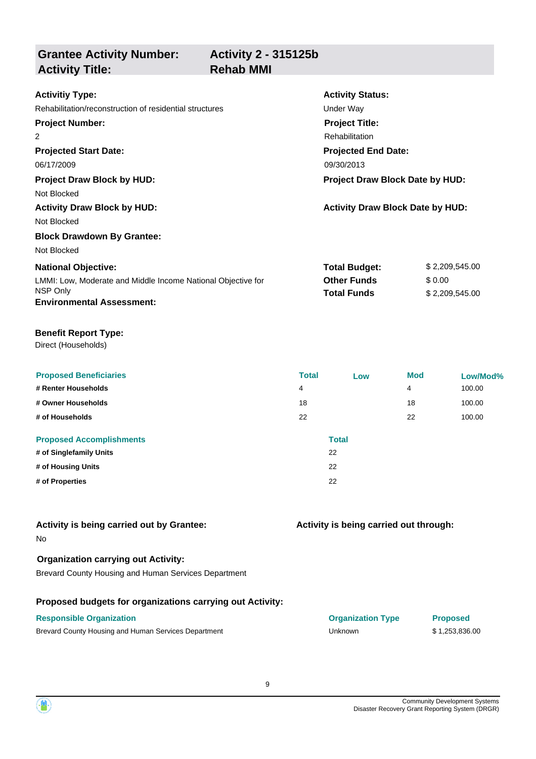**Activity 2 - 315125b**

**Activity Title: Rehab MMI** 

| <b>Activitiy Type:</b>                                                   | <b>Activity Status:</b>                  |                          |  |
|--------------------------------------------------------------------------|------------------------------------------|--------------------------|--|
| Rehabilitation/reconstruction of residential structures                  | Under Way                                |                          |  |
| <b>Project Number:</b>                                                   | <b>Project Title:</b>                    |                          |  |
| 2                                                                        | Rehabilitation                           |                          |  |
| <b>Projected Start Date:</b>                                             | <b>Projected End Date:</b>               |                          |  |
| 06/17/2009                                                               | 09/30/2013                               |                          |  |
| <b>Project Draw Block by HUD:</b>                                        | <b>Project Draw Block Date by HUD:</b>   |                          |  |
| Not Blocked                                                              |                                          |                          |  |
| <b>Activity Draw Block by HUD:</b>                                       | <b>Activity Draw Block Date by HUD:</b>  |                          |  |
| Not Blocked                                                              |                                          |                          |  |
| <b>Block Drawdown By Grantee:</b>                                        |                                          |                          |  |
| Not Blocked                                                              |                                          |                          |  |
| <b>National Objective:</b>                                               | <b>Total Budget:</b>                     | \$2,209,545.00           |  |
| LMMI: Low, Moderate and Middle Income National Objective for<br>NSP Only | <b>Other Funds</b><br><b>Total Funds</b> | \$0.00<br>\$2,209,545.00 |  |
| <b>Environmental Assessment:</b>                                         |                                          |                          |  |

#### **Benefit Report Type:**

**Grantee Activity Number:**

Direct (Households)

| <b>Proposed Beneficiaries</b><br># Renter Households | <b>Total</b><br>4 | Low          | <b>Mod</b><br>4 | Low/Mod%<br>100.00 |
|------------------------------------------------------|-------------------|--------------|-----------------|--------------------|
|                                                      |                   |              |                 |                    |
| # Owner Households                                   | 18                |              | 18              | 100.00             |
| # of Households                                      | 22                |              | 22              | 100.00             |
| <b>Proposed Accomplishments</b>                      |                   | <b>Total</b> |                 |                    |
| # of Singlefamily Units                              |                   | 22           |                 |                    |
| # of Housing Units                                   |                   | 22           |                 |                    |
| # of Properties                                      |                   | 22           |                 |                    |

#### No **Activity is being carried out by Grantee:**

#### **Organization carrying out Activity:**

Brevard County Housing and Human Services Department

#### **Proposed budgets for organizations carrying out Activity:**

#### **Responsible Organization Organization Type Proposed** Brevard County Housing and Human Services Department Unknown Unknown \$ 1,253,836.00

# **Activity is being carried out through:**

| <b>Organization Type</b> | <b>Propose</b> |
|--------------------------|----------------|
| Unknown                  | \$1,253,8      |

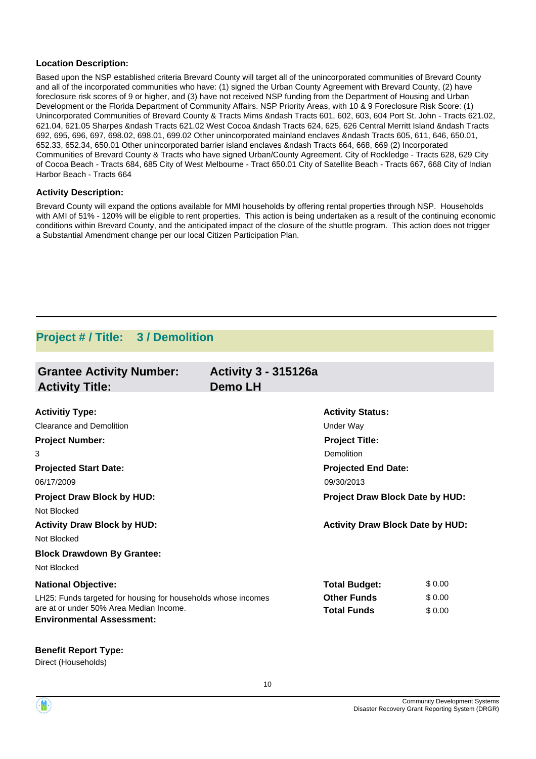#### **Location Description:**

Based upon the NSP established criteria Brevard County will target all of the unincorporated communities of Brevard County and all of the incorporated communities who have: (1) signed the Urban County Agreement with Brevard County, (2) have foreclosure risk scores of 9 or higher, and (3) have not received NSP funding from the Department of Housing and Urban Development or the Florida Department of Community Affairs. NSP Priority Areas, with 10 & 9 Foreclosure Risk Score: (1) Unincorporated Communities of Brevard County & Tracts Mims &ndash Tracts 601, 602, 603, 604 Port St. John - Tracts 621.02, 621.04, 621.05 Sharpes &ndash Tracts 621.02 West Cocoa &ndash Tracts 624, 625, 626 Central Merritt Island &ndash Tracts 692, 695, 696, 697, 698.02, 698.01, 699.02 Other unincorporated mainland enclaves &ndash Tracts 605, 611, 646, 650.01, 652.33, 652.34, 650.01 Other unincorporated barrier island enclaves &ndash Tracts 664, 668, 669 (2) Incorporated Communities of Brevard County & Tracts who have signed Urban/County Agreement. City of Rockledge - Tracts 628, 629 City of Cocoa Beach - Tracts 684, 685 City of West Melbourne - Tract 650.01 City of Satellite Beach - Tracts 667, 668 City of Indian Harbor Beach - Tracts 664

#### **Activity Description:**

Brevard County will expand the options available for MMI households by offering rental properties through NSP. Households with AMI of 51% - 120% will be eligible to rent properties. This action is being undertaken as a result of the continuing economic conditions within Brevard County, and the anticipated impact of the closure of the shuttle program. This action does not trigger a Substantial Amendment change per our local Citizen Participation Plan.

### **Project # / Title: 3 / Demolition**

| <b>Grantee Activity Number:</b><br><b>Activity Title:</b>     | <b>Activity 3 - 315126a</b><br>Demo LH |                                         |        |
|---------------------------------------------------------------|----------------------------------------|-----------------------------------------|--------|
|                                                               |                                        |                                         |        |
| <b>Activitiy Type:</b>                                        |                                        | <b>Activity Status:</b>                 |        |
| Clearance and Demolition                                      |                                        | Under Way                               |        |
| <b>Project Number:</b>                                        |                                        | <b>Project Title:</b>                   |        |
| 3                                                             |                                        | Demolition                              |        |
| <b>Projected Start Date:</b>                                  |                                        | <b>Projected End Date:</b>              |        |
| 06/17/2009                                                    |                                        | 09/30/2013                              |        |
| <b>Project Draw Block by HUD:</b>                             |                                        | <b>Project Draw Block Date by HUD:</b>  |        |
| Not Blocked                                                   |                                        |                                         |        |
| <b>Activity Draw Block by HUD:</b>                            |                                        | <b>Activity Draw Block Date by HUD:</b> |        |
| Not Blocked                                                   |                                        |                                         |        |
| <b>Block Drawdown By Grantee:</b>                             |                                        |                                         |        |
| Not Blocked                                                   |                                        |                                         |        |
| <b>National Objective:</b>                                    |                                        | <b>Total Budget:</b>                    | \$0.00 |
| LH25: Funds targeted for housing for households whose incomes |                                        | <b>Other Funds</b>                      | \$0.00 |
| are at or under 50% Area Median Income.                       |                                        | <b>Total Funds</b>                      | \$0.00 |
| <b>Environmental Assessment:</b>                              |                                        |                                         |        |

**Benefit Report Type:**

Direct (Households)

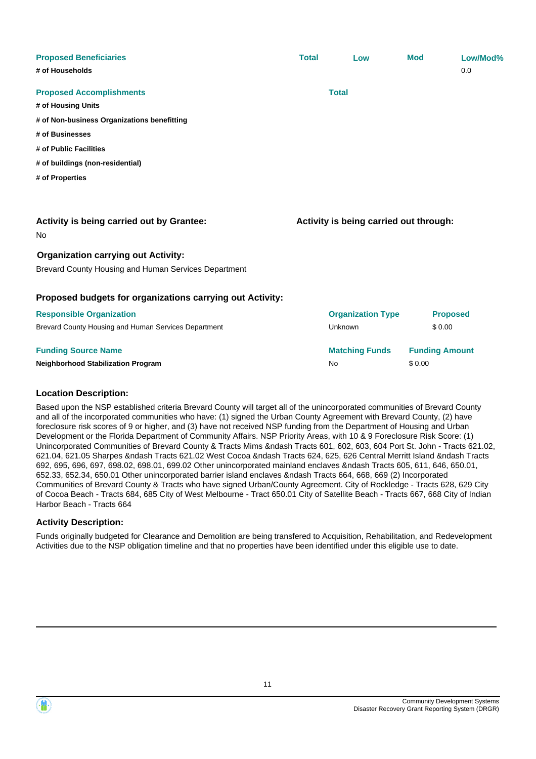| <b>Proposed Beneficiaries</b>                             | <b>Total</b> | Low                                    | <b>Mod</b>            | Low/Mod%        |
|-----------------------------------------------------------|--------------|----------------------------------------|-----------------------|-----------------|
| # of Households                                           |              |                                        |                       | 0.0             |
| <b>Proposed Accomplishments</b>                           |              | <b>Total</b>                           |                       |                 |
| # of Housing Units                                        |              |                                        |                       |                 |
| # of Non-business Organizations benefitting               |              |                                        |                       |                 |
| # of Businesses                                           |              |                                        |                       |                 |
| # of Public Facilities                                    |              |                                        |                       |                 |
| # of buildings (non-residential)                          |              |                                        |                       |                 |
| # of Properties                                           |              |                                        |                       |                 |
|                                                           |              |                                        |                       |                 |
|                                                           |              |                                        |                       |                 |
| <b>Activity is being carried out by Grantee:</b>          |              | Activity is being carried out through: |                       |                 |
| No                                                        |              |                                        |                       |                 |
| <b>Organization carrying out Activity:</b>                |              |                                        |                       |                 |
| Brevard County Housing and Human Services Department      |              |                                        |                       |                 |
|                                                           |              |                                        |                       |                 |
| Proposed budgets for organizations carrying out Activity: |              |                                        |                       |                 |
| <b>Responsible Organization</b>                           |              | <b>Organization Type</b>               |                       | <b>Proposed</b> |
| Brevard County Housing and Human Services Department      |              | Unknown                                | \$0.00                |                 |
| <b>Funding Source Name</b>                                |              | <b>Matching Funds</b>                  | <b>Funding Amount</b> |                 |
| Neighborhood Stabilization Program                        |              | No                                     | \$0.00                |                 |
|                                                           |              |                                        |                       |                 |

#### **Location Description:**

Based upon the NSP established criteria Brevard County will target all of the unincorporated communities of Brevard County and all of the incorporated communities who have: (1) signed the Urban County Agreement with Brevard County, (2) have foreclosure risk scores of 9 or higher, and (3) have not received NSP funding from the Department of Housing and Urban Development or the Florida Department of Community Affairs. NSP Priority Areas, with 10 & 9 Foreclosure Risk Score: (1) Unincorporated Communities of Brevard County & Tracts Mims &ndash Tracts 601, 602, 603, 604 Port St. John - Tracts 621.02, 621.04, 621.05 Sharpes &ndash Tracts 621.02 West Cocoa &ndash Tracts 624, 625, 626 Central Merritt Island &ndash Tracts 692, 695, 696, 697, 698.02, 698.01, 699.02 Other unincorporated mainland enclaves &ndash Tracts 605, 611, 646, 650.01, 652.33, 652.34, 650.01 Other unincorporated barrier island enclaves &ndash Tracts 664, 668, 669 (2) Incorporated Communities of Brevard County & Tracts who have signed Urban/County Agreement. City of Rockledge - Tracts 628, 629 City of Cocoa Beach - Tracts 684, 685 City of West Melbourne - Tract 650.01 City of Satellite Beach - Tracts 667, 668 City of Indian Harbor Beach - Tracts 664

#### **Activity Description:**

Funds originally budgeted for Clearance and Demolition are being transfered to Acquisition, Rehabilitation, and Redevelopment Activities due to the NSP obligation timeline and that no properties have been identified under this eligible use to date.

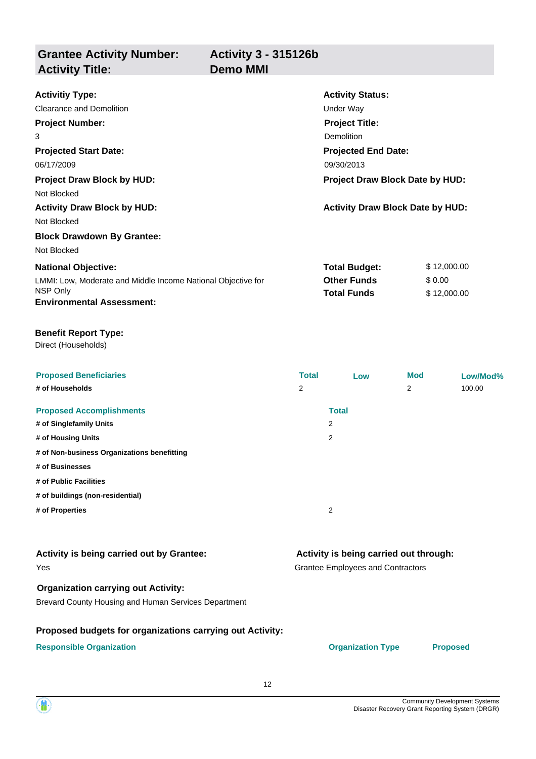**Activity 3 - 315126b**

**Grantee Activity Number: Activity Title: Demo MMI**

**Projected Start Date:** LMMI: Low, Moderate and Middle Income National Objective for **National Objective: Activity Status: Projected End Date: Activitiy Type:** 06/17/2009 06/17/2009 06/17/2009 06/17/2009 06/17/2009 06/17/2009 06/17/2009 06/1 Clearance and Demolition **Clearance and Demolition Under Way Project Number:** 3 **Project Title:** Demolition **Total Budget:** \$ 12,000.00 **Other Funds** \$ 0.00 **Project Draw Block by HUD: Project Draw Block Date by HUD:** Not Blocked **Activity Draw Block by HUD: Activity Draw Block Date by HUD:** Not Blocked **Block Drawdown By Grantee:** Not Blocked

#### **Benefit Report Type:**

**Environmental Assessment:**

Direct (Households)

NSP Only

| <b>Proposed Beneficiaries</b>               | <b>Total</b> | Low          | <b>Mod</b> | Low/Mod% |
|---------------------------------------------|--------------|--------------|------------|----------|
| # of Households                             | 2            |              | 2          | 100.00   |
| <b>Proposed Accomplishments</b>             |              | <b>Total</b> |            |          |
| # of Singlefamily Units                     |              | 2            |            |          |
| # of Housing Units                          |              | 2            |            |          |
| # of Non-business Organizations benefitting |              |              |            |          |
| # of Businesses                             |              |              |            |          |
| # of Public Facilities                      |              |              |            |          |
| # of buildings (non-residential)            |              |              |            |          |
| # of Properties                             |              | 2            |            |          |

#### Yes **Activity is being carried out by Grantee:**

#### **Organization carrying out Activity:**

Brevard County Housing and Human Services Department

#### **Proposed budgets for organizations carrying out Activity:**

**Responsible Organization Organization Type Proposed**

**Activity is being carried out through:**

**Total Funds** \$ 12,000.00

Grantee Employees and Contractors

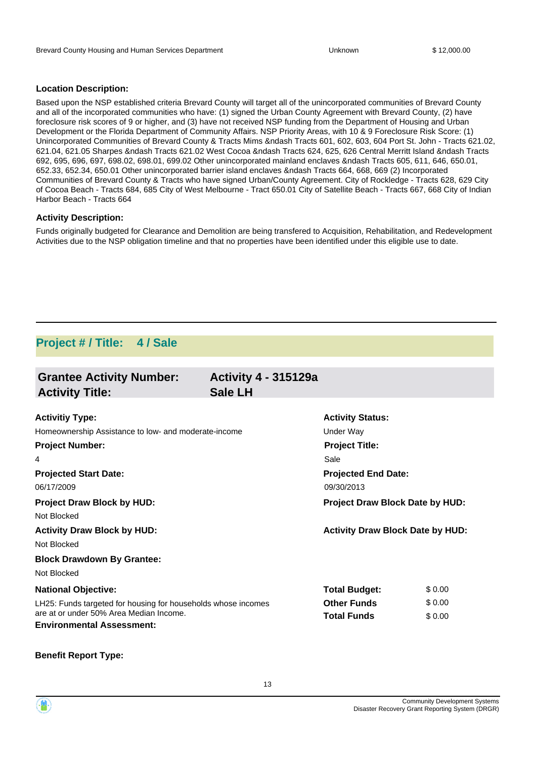#### **Location Description:**

Based upon the NSP established criteria Brevard County will target all of the unincorporated communities of Brevard County and all of the incorporated communities who have: (1) signed the Urban County Agreement with Brevard County, (2) have foreclosure risk scores of 9 or higher, and (3) have not received NSP funding from the Department of Housing and Urban Development or the Florida Department of Community Affairs. NSP Priority Areas, with 10 & 9 Foreclosure Risk Score: (1) Unincorporated Communities of Brevard County & Tracts Mims &ndash Tracts 601, 602, 603, 604 Port St. John - Tracts 621.02, 621.04, 621.05 Sharpes &ndash Tracts 621.02 West Cocoa &ndash Tracts 624, 625, 626 Central Merritt Island &ndash Tracts 692, 695, 696, 697, 698.02, 698.01, 699.02 Other unincorporated mainland enclaves &ndash Tracts 605, 611, 646, 650.01, 652.33, 652.34, 650.01 Other unincorporated barrier island enclaves &ndash Tracts 664, 668, 669 (2) Incorporated Communities of Brevard County & Tracts who have signed Urban/County Agreement. City of Rockledge - Tracts 628, 629 City of Cocoa Beach - Tracts 684, 685 City of West Melbourne - Tract 650.01 City of Satellite Beach - Tracts 667, 668 City of Indian Harbor Beach - Tracts 664

#### **Activity Description:**

Funds originally budgeted for Clearance and Demolition are being transfered to Acquisition, Rehabilitation, and Redevelopment Activities due to the NSP obligation timeline and that no properties have been identified under this eligible use to date.

### **Project # / Title: 4 / Sale**

| <b>Grantee Activity Number:</b><br><b>Activity Title:</b>                   | <b>Activity 4 - 315129a</b><br><b>Sale LH</b> |                                         |        |
|-----------------------------------------------------------------------------|-----------------------------------------------|-----------------------------------------|--------|
|                                                                             |                                               |                                         |        |
| <b>Activitiy Type:</b>                                                      |                                               | <b>Activity Status:</b>                 |        |
| Homeownership Assistance to low- and moderate-income                        |                                               | Under Way                               |        |
| <b>Project Number:</b>                                                      |                                               | <b>Project Title:</b>                   |        |
| 4                                                                           |                                               | Sale                                    |        |
| <b>Projected Start Date:</b>                                                |                                               | <b>Projected End Date:</b>              |        |
| 06/17/2009                                                                  |                                               | 09/30/2013                              |        |
| <b>Project Draw Block by HUD:</b>                                           |                                               | <b>Project Draw Block Date by HUD:</b>  |        |
| Not Blocked                                                                 |                                               |                                         |        |
| <b>Activity Draw Block by HUD:</b>                                          |                                               | <b>Activity Draw Block Date by HUD:</b> |        |
| Not Blocked                                                                 |                                               |                                         |        |
| <b>Block Drawdown By Grantee:</b>                                           |                                               |                                         |        |
| Not Blocked                                                                 |                                               |                                         |        |
| <b>National Objective:</b>                                                  |                                               | <b>Total Budget:</b>                    | \$0.00 |
| LH25: Funds targeted for housing for households whose incomes               |                                               | <b>Other Funds</b>                      | \$0.00 |
| are at or under 50% Area Median Income.<br><b>Environmental Assessment:</b> |                                               | <b>Total Funds</b>                      | \$0.00 |

#### **Benefit Report Type:**

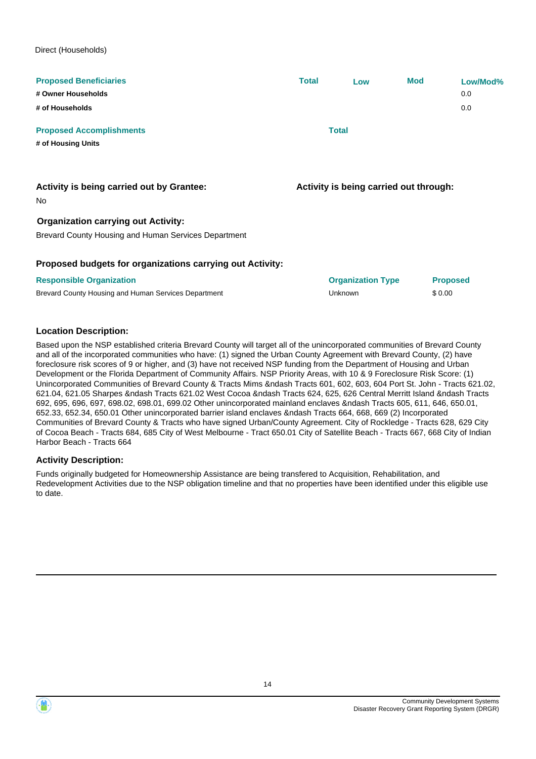Direct (Households)

| <b>Proposed Beneficiaries</b>                             | <b>Total</b> | Low                                    | <b>Mod</b>      | Low/Mod% |
|-----------------------------------------------------------|--------------|----------------------------------------|-----------------|----------|
| # Owner Households                                        |              |                                        |                 | 0.0      |
| # of Households                                           |              |                                        |                 | 0.0      |
| <b>Proposed Accomplishments</b>                           |              | <b>Total</b>                           |                 |          |
| # of Housing Units                                        |              |                                        |                 |          |
| Activity is being carried out by Grantee:                 |              | Activity is being carried out through: |                 |          |
| No.<br><b>Organization carrying out Activity:</b>         |              |                                        |                 |          |
| Brevard County Housing and Human Services Department      |              |                                        |                 |          |
| Proposed budgets for organizations carrying out Activity: |              |                                        |                 |          |
| <b>Responsible Organization</b>                           |              | <b>Organization Type</b>               | <b>Proposed</b> |          |
| Brevard County Housing and Human Services Department      |              | Unknown                                | \$0.00          |          |

#### **Location Description:**

Based upon the NSP established criteria Brevard County will target all of the unincorporated communities of Brevard County and all of the incorporated communities who have: (1) signed the Urban County Agreement with Brevard County, (2) have foreclosure risk scores of 9 or higher, and (3) have not received NSP funding from the Department of Housing and Urban Development or the Florida Department of Community Affairs. NSP Priority Areas, with 10 & 9 Foreclosure Risk Score: (1) Unincorporated Communities of Brevard County & Tracts Mims &ndash Tracts 601, 602, 603, 604 Port St. John - Tracts 621.02, 621.04, 621.05 Sharpes &ndash Tracts 621.02 West Cocoa &ndash Tracts 624, 625, 626 Central Merritt Island &ndash Tracts 692, 695, 696, 697, 698.02, 698.01, 699.02 Other unincorporated mainland enclaves &ndash Tracts 605, 611, 646, 650.01, 652.33, 652.34, 650.01 Other unincorporated barrier island enclaves &ndash Tracts 664, 668, 669 (2) Incorporated Communities of Brevard County & Tracts who have signed Urban/County Agreement. City of Rockledge - Tracts 628, 629 City of Cocoa Beach - Tracts 684, 685 City of West Melbourne - Tract 650.01 City of Satellite Beach - Tracts 667, 668 City of Indian Harbor Beach - Tracts 664

#### **Activity Description:**

Funds originally budgeted for Homeownership Assistance are being transfered to Acquisition, Rehabilitation, and Redevelopment Activities due to the NSP obligation timeline and that no properties have been identified under this eligible use to date.

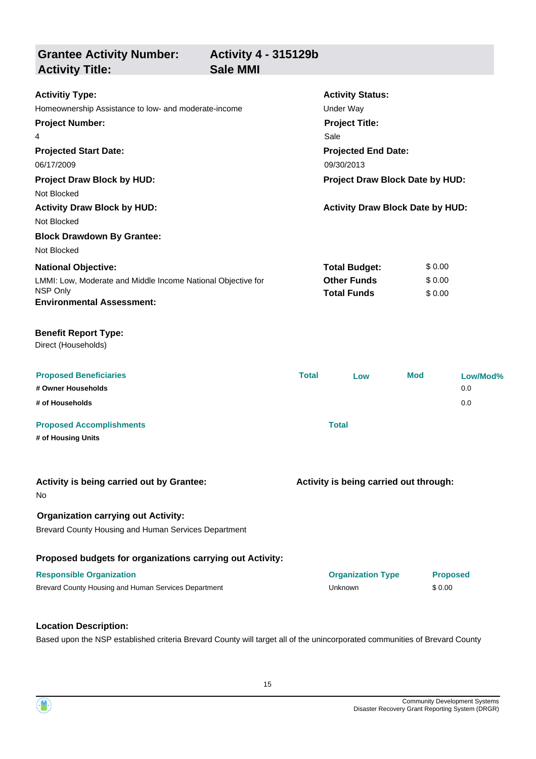**Grantee Activity Number: Activity Status: Activity 4 - 315129b Activitiy Type:** Homeownership Assistance to low- and moderate-income Theorem Conder Way **Activity Title: Sale MMI Project Number:** 4 **Project Title:** Sale

**Projected Start Date:** LMMI: Low, Moderate and Middle Income National Objective for NSP Only **National Objective: Projected End Date:** 06/17/2009 06/17/2009 06/17/2009 06/17/2009 06/17/2009 06/17/2009 06/17/2009 06/1 **Total Budget:** \$ 0.00 **Other Funds** \$ 0.00 **Total Funds** \$ 0.00 **Project Draw Block by HUD: Project Draw Block Date by HUD:** Not Blocked **Activity Draw Block by HUD: Activity Draw Block Date by HUD:** Not Blocked **Block Drawdown By Grantee:** Not Blocked

**Environmental Assessment:**

#### **Benefit Report Type:**

Direct (Households)

| <b>Proposed Beneficiaries</b><br># Owner Households<br># of Households | <b>Total</b> | Low | <b>Mod</b> | Low/Mod%<br>0.0<br>0.0 |
|------------------------------------------------------------------------|--------------|-----|------------|------------------------|
| <b>Proposed Accomplishments</b>                                        | Total        |     |            |                        |
| # of Housing Units                                                     |              |     |            |                        |

| Activity is being carried out by Grantee:<br><b>No</b>    | Activity is being carried out through: |                 |  |
|-----------------------------------------------------------|----------------------------------------|-----------------|--|
| <b>Organization carrying out Activity:</b>                |                                        |                 |  |
| Brevard County Housing and Human Services Department      |                                        |                 |  |
| Proposed budgets for organizations carrying out Activity: |                                        |                 |  |
| <b>Responsible Organization</b>                           | <b>Organization Type</b>               | <b>Proposed</b> |  |
| Brevard County Housing and Human Services Department      | Unknown                                | \$0.00          |  |

#### **Location Description:**

Based upon the NSP established criteria Brevard County will target all of the unincorporated communities of Brevard County

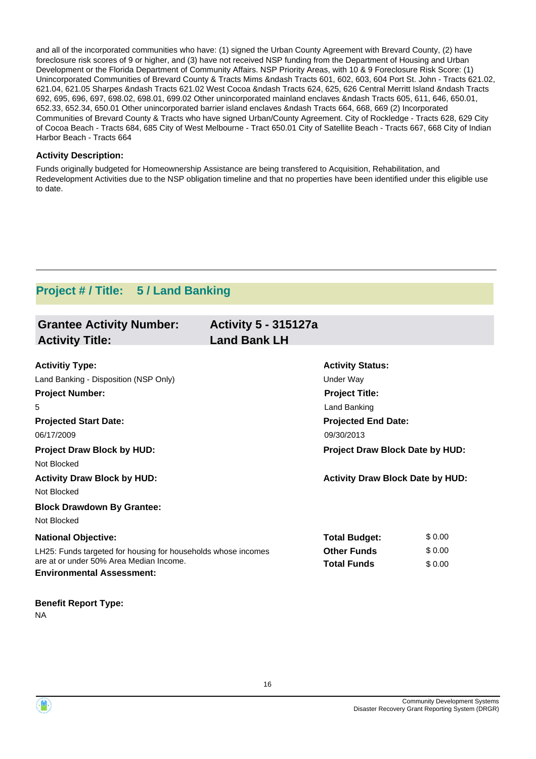and all of the incorporated communities who have: (1) signed the Urban County Agreement with Brevard County, (2) have foreclosure risk scores of 9 or higher, and (3) have not received NSP funding from the Department of Housing and Urban Development or the Florida Department of Community Affairs. NSP Priority Areas, with 10 & 9 Foreclosure Risk Score: (1) Unincorporated Communities of Brevard County & Tracts Mims &ndash Tracts 601, 602, 603, 604 Port St. John - Tracts 621.02, 621.04, 621.05 Sharpes &ndash Tracts 621.02 West Cocoa &ndash Tracts 624, 625, 626 Central Merritt Island &ndash Tracts 692, 695, 696, 697, 698.02, 698.01, 699.02 Other unincorporated mainland enclaves &ndash Tracts 605, 611, 646, 650.01, 652.33, 652.34, 650.01 Other unincorporated barrier island enclaves &ndash Tracts 664, 668, 669 (2) Incorporated Communities of Brevard County & Tracts who have signed Urban/County Agreement. City of Rockledge - Tracts 628, 629 City of Cocoa Beach - Tracts 684, 685 City of West Melbourne - Tract 650.01 City of Satellite Beach - Tracts 667, 668 City of Indian Harbor Beach - Tracts 664

#### **Activity Description:**

Funds originally budgeted for Homeownership Assistance are being transfered to Acquisition, Rehabilitation, and Redevelopment Activities due to the NSP obligation timeline and that no properties have been identified under this eligible use to date.

### **Project # / Title: 5 / Land Banking**

| <b>Grantee Activity Number:</b><br><b>Activity Title:</b>                   | <b>Activity 5 - 315127a</b><br><b>Land Bank LH</b> |                                         |        |
|-----------------------------------------------------------------------------|----------------------------------------------------|-----------------------------------------|--------|
|                                                                             |                                                    |                                         |        |
| <b>Activitiy Type:</b>                                                      |                                                    | <b>Activity Status:</b>                 |        |
| Land Banking - Disposition (NSP Only)                                       |                                                    | Under Way                               |        |
| <b>Project Number:</b>                                                      |                                                    | <b>Project Title:</b>                   |        |
| 5                                                                           |                                                    | Land Banking                            |        |
| <b>Projected Start Date:</b>                                                |                                                    | <b>Projected End Date:</b>              |        |
| 06/17/2009                                                                  |                                                    | 09/30/2013                              |        |
| <b>Project Draw Block by HUD:</b>                                           |                                                    | Project Draw Block Date by HUD:         |        |
| Not Blocked                                                                 |                                                    |                                         |        |
| <b>Activity Draw Block by HUD:</b>                                          |                                                    | <b>Activity Draw Block Date by HUD:</b> |        |
| Not Blocked                                                                 |                                                    |                                         |        |
| <b>Block Drawdown By Grantee:</b>                                           |                                                    |                                         |        |
| Not Blocked                                                                 |                                                    |                                         |        |
| <b>National Objective:</b>                                                  |                                                    | <b>Total Budget:</b>                    | \$0.00 |
| LH25: Funds targeted for housing for households whose incomes               |                                                    | <b>Other Funds</b>                      | \$0.00 |
| are at or under 50% Area Median Income.<br><b>Environmental Assessment:</b> |                                                    | <b>Total Funds</b>                      | \$0.00 |
| <b>Benefit Report Type:</b>                                                 |                                                    |                                         |        |

NA

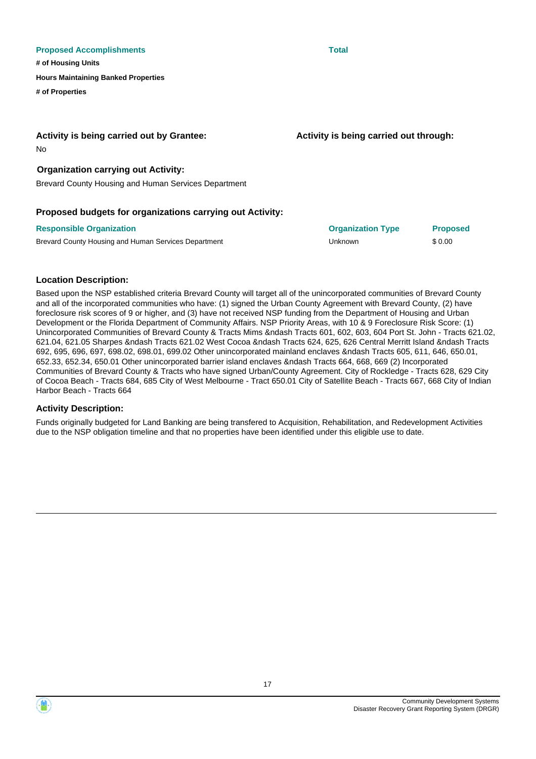#### **Proposed Accomplishments Total**

**# of Housing Units**

**Hours Maintaining Banked Properties**

**# of Properties**

#### **Activity is being carried out by Grantee:**

No

#### **Organization carrying out Activity:**

Brevard County Housing and Human Services Department

#### **Proposed budgets for organizations carrying out Activity:**

| <b>Responsible Organization</b>                      | <b>Organization Type</b> | <b>Proposed</b> |
|------------------------------------------------------|--------------------------|-----------------|
| Brevard County Housing and Human Services Department | Unknown                  | \$0.00          |

#### **Location Description:**

Based upon the NSP established criteria Brevard County will target all of the unincorporated communities of Brevard County and all of the incorporated communities who have: (1) signed the Urban County Agreement with Brevard County, (2) have foreclosure risk scores of 9 or higher, and (3) have not received NSP funding from the Department of Housing and Urban Development or the Florida Department of Community Affairs. NSP Priority Areas, with 10 & 9 Foreclosure Risk Score: (1) Unincorporated Communities of Brevard County & Tracts Mims &ndash Tracts 601, 602, 603, 604 Port St. John - Tracts 621.02, 621.04, 621.05 Sharpes &ndash Tracts 621.02 West Cocoa &ndash Tracts 624, 625, 626 Central Merritt Island &ndash Tracts 692, 695, 696, 697, 698.02, 698.01, 699.02 Other unincorporated mainland enclaves &ndash Tracts 605, 611, 646, 650.01, 652.33, 652.34, 650.01 Other unincorporated barrier island enclaves &ndash Tracts 664, 668, 669 (2) Incorporated Communities of Brevard County & Tracts who have signed Urban/County Agreement. City of Rockledge - Tracts 628, 629 City of Cocoa Beach - Tracts 684, 685 City of West Melbourne - Tract 650.01 City of Satellite Beach - Tracts 667, 668 City of Indian Harbor Beach - Tracts 664

#### **Activity Description:**

Funds originally budgeted for Land Banking are being transfered to Acquisition, Rehabilitation, and Redevelopment Activities due to the NSP obligation timeline and that no properties have been identified under this eligible use to date.

17



**Activity is being carried out through:**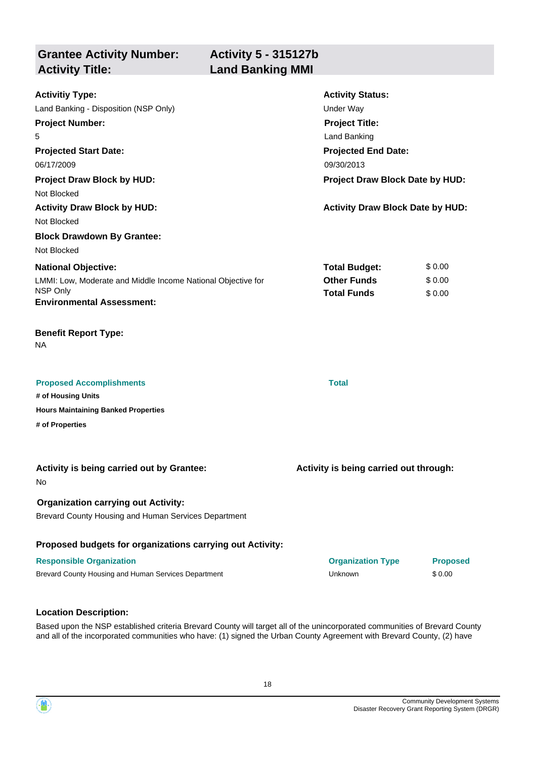**Grantee Activity Number: Activity Title: Land Banking MMI**

| <b>Activitiy Type:</b>                                                                             | <b>Activity Status:</b><br><b>Under Way</b> |                 |
|----------------------------------------------------------------------------------------------------|---------------------------------------------|-----------------|
| Land Banking - Disposition (NSP Only)                                                              |                                             |                 |
| <b>Project Number:</b>                                                                             | <b>Project Title:</b><br>Land Banking       |                 |
| 5                                                                                                  |                                             |                 |
| <b>Projected Start Date:</b><br>06/17/2009                                                         | <b>Projected End Date:</b><br>09/30/2013    |                 |
|                                                                                                    |                                             |                 |
| <b>Project Draw Block by HUD:</b>                                                                  | Project Draw Block Date by HUD:             |                 |
| Not Blocked                                                                                        |                                             |                 |
| <b>Activity Draw Block by HUD:</b><br>Not Blocked                                                  | <b>Activity Draw Block Date by HUD:</b>     |                 |
| <b>Block Drawdown By Grantee:</b>                                                                  |                                             |                 |
| Not Blocked                                                                                        |                                             |                 |
| <b>National Objective:</b>                                                                         | <b>Total Budget:</b>                        | \$0.00          |
| LMMI: Low, Moderate and Middle Income National Objective for                                       | <b>Other Funds</b>                          | \$0.00          |
| NSP Only                                                                                           | <b>Total Funds</b>                          | \$0.00          |
| <b>Environmental Assessment:</b>                                                                   |                                             |                 |
| <b>Benefit Report Type:</b><br><b>NA</b>                                                           |                                             |                 |
| <b>Proposed Accomplishments</b>                                                                    | <b>Total</b>                                |                 |
| # of Housing Units                                                                                 |                                             |                 |
| <b>Hours Maintaining Banked Properties</b>                                                         |                                             |                 |
| # of Properties                                                                                    |                                             |                 |
|                                                                                                    |                                             |                 |
| Activity is being carried out by Grantee:<br>No.                                                   | Activity is being carried out through:      |                 |
| <b>Organization carrying out Activity:</b><br>Brevard County Housing and Human Services Department |                                             |                 |
| Proposed budgets for organizations carrying out Activity:                                          |                                             |                 |
| <b>Responsible Organization</b>                                                                    | <b>Organization Type</b>                    | <b>Proposed</b> |
| Brevard County Housing and Human Services Department                                               | Unknown                                     | \$0.00          |
|                                                                                                    |                                             |                 |

#### **Location Description:**

Based upon the NSP established criteria Brevard County will target all of the unincorporated communities of Brevard County and all of the incorporated communities who have: (1) signed the Urban County Agreement with Brevard County, (2) have

18

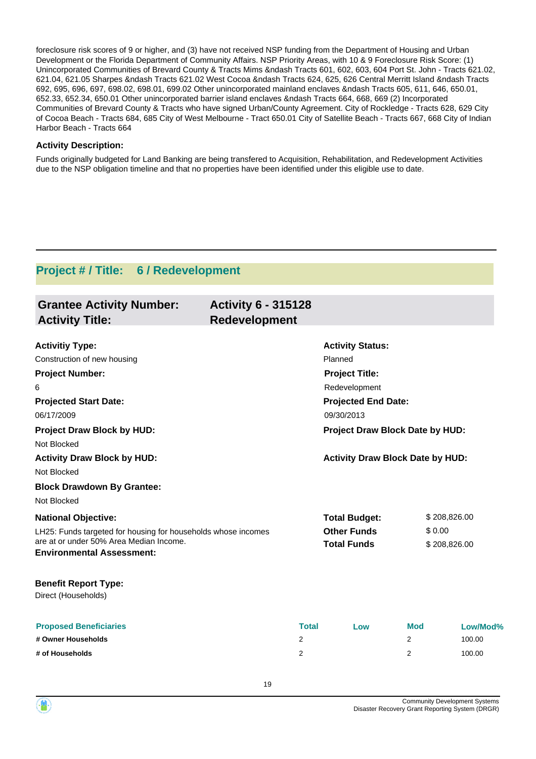foreclosure risk scores of 9 or higher, and (3) have not received NSP funding from the Department of Housing and Urban Development or the Florida Department of Community Affairs. NSP Priority Areas, with 10 & 9 Foreclosure Risk Score: (1) Unincorporated Communities of Brevard County & Tracts Mims &ndash Tracts 601, 602, 603, 604 Port St. John - Tracts 621.02, 621.04, 621.05 Sharpes &ndash Tracts 621.02 West Cocoa &ndash Tracts 624, 625, 626 Central Merritt Island &ndash Tracts 692, 695, 696, 697, 698.02, 698.01, 699.02 Other unincorporated mainland enclaves &ndash Tracts 605, 611, 646, 650.01, 652.33, 652.34, 650.01 Other unincorporated barrier island enclaves &ndash Tracts 664, 668, 669 (2) Incorporated Communities of Brevard County & Tracts who have signed Urban/County Agreement. City of Rockledge - Tracts 628, 629 City of Cocoa Beach - Tracts 684, 685 City of West Melbourne - Tract 650.01 City of Satellite Beach - Tracts 667, 668 City of Indian Harbor Beach - Tracts 664

#### **Activity Description:**

Funds originally budgeted for Land Banking are being transfered to Acquisition, Rehabilitation, and Redevelopment Activities due to the NSP obligation timeline and that no properties have been identified under this eligible use to date.

### **Project # / Title: 6 / Redevelopment**

| <b>Grantee Activity Number:</b><br><b>Activity Title:</b>                                                                                    | <b>Activity 6 - 315128</b><br>Redevelopment |                                          |            |              |
|----------------------------------------------------------------------------------------------------------------------------------------------|---------------------------------------------|------------------------------------------|------------|--------------|
| <b>Activitiy Type:</b>                                                                                                                       |                                             | <b>Activity Status:</b>                  |            |              |
| Construction of new housing                                                                                                                  |                                             | Planned                                  |            |              |
| <b>Project Number:</b>                                                                                                                       |                                             | <b>Project Title:</b>                    |            |              |
| 6                                                                                                                                            | Redevelopment                               |                                          |            |              |
| <b>Projected Start Date:</b><br>06/17/2009                                                                                                   |                                             | <b>Projected End Date:</b><br>09/30/2013 |            |              |
| <b>Project Draw Block by HUD:</b><br>Not Blocked                                                                                             |                                             | Project Draw Block Date by HUD:          |            |              |
| <b>Activity Draw Block by HUD:</b>                                                                                                           |                                             | <b>Activity Draw Block Date by HUD:</b>  |            |              |
| Not Blocked                                                                                                                                  |                                             |                                          |            |              |
| <b>Block Drawdown By Grantee:</b>                                                                                                            |                                             |                                          |            |              |
| Not Blocked                                                                                                                                  |                                             |                                          |            |              |
| <b>National Objective:</b>                                                                                                                   |                                             | <b>Total Budget:</b>                     |            | \$208,826.00 |
| LH25: Funds targeted for housing for households whose incomes<br>are at or under 50% Area Median Income.<br><b>Environmental Assessment:</b> |                                             | <b>Other Funds</b><br><b>Total Funds</b> | \$0.00     | \$208,826.00 |
| <b>Benefit Report Type:</b><br>Direct (Households)                                                                                           |                                             |                                          |            |              |
| <b>Proposed Beneficiaries</b>                                                                                                                | <b>Total</b>                                | Low                                      | <b>Mod</b> | Low/Mod%     |
| # Owner Households                                                                                                                           | 2                                           |                                          | 2          | 100.00       |
| # of Households                                                                                                                              | 2                                           |                                          | 2          | 100.00       |

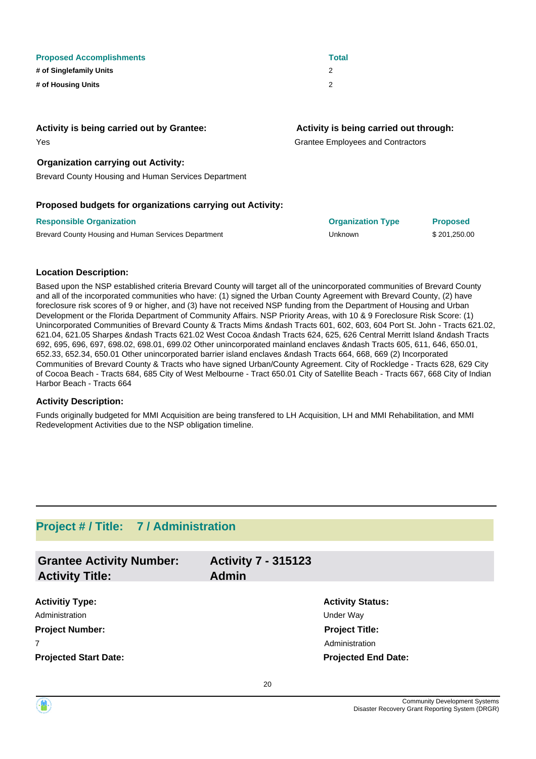| <b>Proposed Accomplishments</b> | <b>Total</b> |
|---------------------------------|--------------|
| # of Singlefamily Units         |              |
| # of Housing Units              | 2            |

#### **Activity is being carried out by Grantee:**

#### **Activity is being carried out through:**

Grantee Employees and Contractors

#### **Organization carrying out Activity:**

Brevard County Housing and Human Services Department

#### **Proposed budgets for organizations carrying out Activity:**

| <b>Responsible Organization</b>                      | <b>Organization Type</b> | <b>Proposed</b> |
|------------------------------------------------------|--------------------------|-----------------|
| Brevard County Housing and Human Services Department | Unknown                  | \$201.250.00    |

#### **Location Description:**

Yes

Based upon the NSP established criteria Brevard County will target all of the unincorporated communities of Brevard County and all of the incorporated communities who have: (1) signed the Urban County Agreement with Brevard County, (2) have foreclosure risk scores of 9 or higher, and (3) have not received NSP funding from the Department of Housing and Urban Development or the Florida Department of Community Affairs. NSP Priority Areas, with 10 & 9 Foreclosure Risk Score: (1) Unincorporated Communities of Brevard County & Tracts Mims &ndash Tracts 601, 602, 603, 604 Port St. John - Tracts 621.02, 621.04, 621.05 Sharpes &ndash Tracts 621.02 West Cocoa &ndash Tracts 624, 625, 626 Central Merritt Island &ndash Tracts 692, 695, 696, 697, 698.02, 698.01, 699.02 Other unincorporated mainland enclaves &ndash Tracts 605, 611, 646, 650.01, 652.33, 652.34, 650.01 Other unincorporated barrier island enclaves &ndash Tracts 664, 668, 669 (2) Incorporated Communities of Brevard County & Tracts who have signed Urban/County Agreement. City of Rockledge - Tracts 628, 629 City of Cocoa Beach - Tracts 684, 685 City of West Melbourne - Tract 650.01 City of Satellite Beach - Tracts 667, 668 City of Indian Harbor Beach - Tracts 664

#### **Activity Description:**

Funds originally budgeted for MMI Acquisition are being transfered to LH Acquisition, LH and MMI Rehabilitation, and MMI Redevelopment Activities due to the NSP obligation timeline.

### **Project # / Title: 7 / Administration**

| <b>Grantee Activity Number:</b><br><b>Activity Title:</b> | <b>Activity 7 - 315123</b><br><b>Admin</b> |                            |
|-----------------------------------------------------------|--------------------------------------------|----------------------------|
| <b>Activitiy Type:</b>                                    |                                            | <b>Activity Status:</b>    |
| Administration                                            |                                            | Under Way                  |
| <b>Project Number:</b>                                    |                                            | <b>Project Title:</b>      |
| $\overline{7}$                                            |                                            | Administration             |
| <b>Projected Start Date:</b>                              |                                            | <b>Projected End Date:</b> |
|                                                           |                                            |                            |

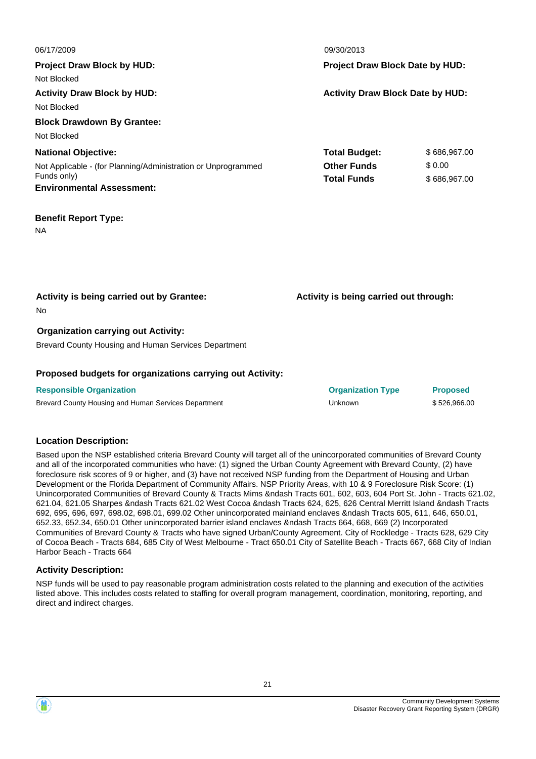| 06/17/2009                                                    | 09/30/2013                              |                                        |  |
|---------------------------------------------------------------|-----------------------------------------|----------------------------------------|--|
| <b>Project Draw Block by HUD:</b>                             |                                         | <b>Project Draw Block Date by HUD:</b> |  |
| Not Blocked                                                   |                                         |                                        |  |
| <b>Activity Draw Block by HUD:</b>                            | <b>Activity Draw Block Date by HUD:</b> |                                        |  |
| Not Blocked                                                   |                                         |                                        |  |
| <b>Block Drawdown By Grantee:</b>                             |                                         |                                        |  |
| Not Blocked                                                   |                                         |                                        |  |
| <b>National Objective:</b>                                    | <b>Total Budget:</b>                    | \$686,967.00                           |  |
| Not Applicable - (for Planning/Administration or Unprogrammed | <b>Other Funds</b>                      | \$0.00                                 |  |
| Funds only)                                                   | <b>Total Funds</b>                      | \$686,967.00                           |  |
| <b>Environmental Assessment:</b>                              |                                         |                                        |  |
| <b>Benefit Report Type:</b>                                   |                                         |                                        |  |
| NA                                                            |                                         |                                        |  |
|                                                               |                                         |                                        |  |
|                                                               |                                         |                                        |  |
|                                                               |                                         |                                        |  |
| Activity is being carried out by Grantee:                     | Activity is being carried out through:  |                                        |  |
| No                                                            |                                         |                                        |  |
| <b>Organization carrying out Activity:</b>                    |                                         |                                        |  |
| Brevard County Housing and Human Services Department          |                                         |                                        |  |
|                                                               |                                         |                                        |  |

#### **Proposed budgets for organizations carrying out Activity:**

| <b>Responsible Organization</b>                      | <b>Organization Type</b> | <b>Proposed</b> |
|------------------------------------------------------|--------------------------|-----------------|
| Brevard County Housing and Human Services Department | Unknown                  | \$526,966.00    |

#### **Location Description:**

Based upon the NSP established criteria Brevard County will target all of the unincorporated communities of Brevard County and all of the incorporated communities who have: (1) signed the Urban County Agreement with Brevard County, (2) have foreclosure risk scores of 9 or higher, and (3) have not received NSP funding from the Department of Housing and Urban Development or the Florida Department of Community Affairs. NSP Priority Areas, with 10 & 9 Foreclosure Risk Score: (1) Unincorporated Communities of Brevard County & Tracts Mims &ndash Tracts 601, 602, 603, 604 Port St. John - Tracts 621.02, 621.04, 621.05 Sharpes &ndash Tracts 621.02 West Cocoa &ndash Tracts 624, 625, 626 Central Merritt Island &ndash Tracts 692, 695, 696, 697, 698.02, 698.01, 699.02 Other unincorporated mainland enclaves &ndash Tracts 605, 611, 646, 650.01, 652.33, 652.34, 650.01 Other unincorporated barrier island enclaves &ndash Tracts 664, 668, 669 (2) Incorporated Communities of Brevard County & Tracts who have signed Urban/County Agreement. City of Rockledge - Tracts 628, 629 City of Cocoa Beach - Tracts 684, 685 City of West Melbourne - Tract 650.01 City of Satellite Beach - Tracts 667, 668 City of Indian Harbor Beach - Tracts 664

#### **Activity Description:**

NSP funds will be used to pay reasonable program administration costs related to the planning and execution of the activities listed above. This includes costs related to staffing for overall program management, coordination, monitoring, reporting, and direct and indirect charges.